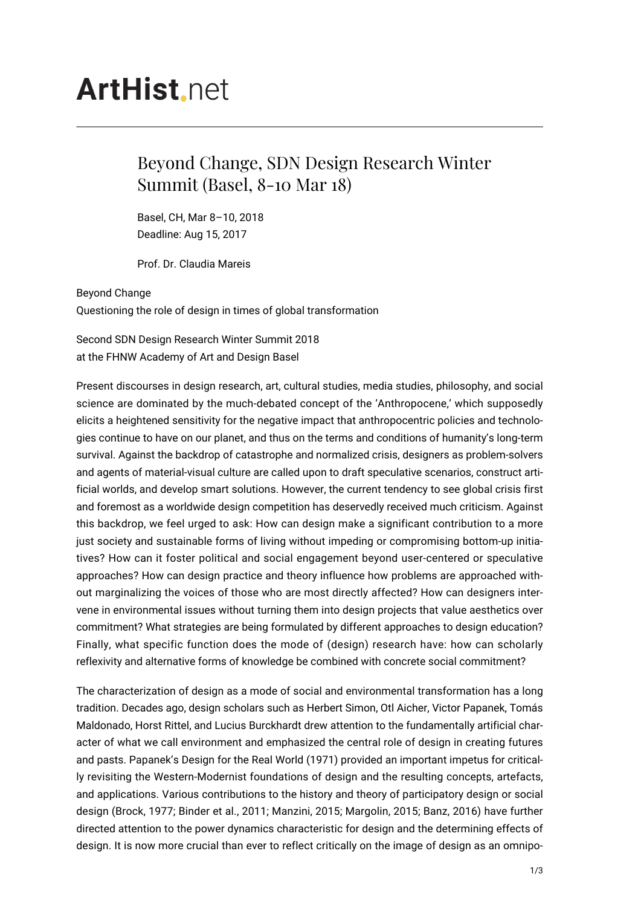## **ArtHist**, net

## Beyond Change, SDN Design Research Winter Summit (Basel, 8-10 Mar 18)

Basel, CH, Mar 8–10, 2018 Deadline: Aug 15, 2017

Prof. Dr. Claudia Mareis

Beyond Change Questioning the role of design in times of global transformation

Second SDN Design Research Winter Summit 2018 at the FHNW Academy of Art and Design Basel

Present discourses in design research, art, cultural studies, media studies, philosophy, and social science are dominated by the much-debated concept of the 'Anthropocene,' which supposedly elicits a heightened sensitivity for the negative impact that anthropocentric policies and technologies continue to have on our planet, and thus on the terms and conditions of humanity's long-term survival. Against the backdrop of catastrophe and normalized crisis, designers as problem-solvers and agents of material-visual culture are called upon to draft speculative scenarios, construct artificial worlds, and develop smart solutions. However, the current tendency to see global crisis first and foremost as a worldwide design competition has deservedly received much criticism. Against this backdrop, we feel urged to ask: How can design make a significant contribution to a more just society and sustainable forms of living without impeding or compromising bottom-up initiatives? How can it foster political and social engagement beyond user-centered or speculative approaches? How can design practice and theory influence how problems are approached without marginalizing the voices of those who are most directly affected? How can designers intervene in environmental issues without turning them into design projects that value aesthetics over commitment? What strategies are being formulated by different approaches to design education? Finally, what specific function does the mode of (design) research have: how can scholarly reflexivity and alternative forms of knowledge be combined with concrete social commitment?

The characterization of design as a mode of social and environmental transformation has a long tradition. Decades ago, design scholars such as Herbert Simon, Otl Aicher, Victor Papanek, Tomás Maldonado, Horst Rittel, and Lucius Burckhardt drew attention to the fundamentally artificial character of what we call environment and emphasized the central role of design in creating futures and pasts. Papanek's Design for the Real World (1971) provided an important impetus for critically revisiting the Western-Modernist foundations of design and the resulting concepts, artefacts, and applications. Various contributions to the history and theory of participatory design or social design (Brock, 1977; Binder et al., 2011; Manzini, 2015; Margolin, 2015; Banz, 2016) have further directed attention to the power dynamics characteristic for design and the determining effects of design. It is now more crucial than ever to reflect critically on the image of design as an omnipo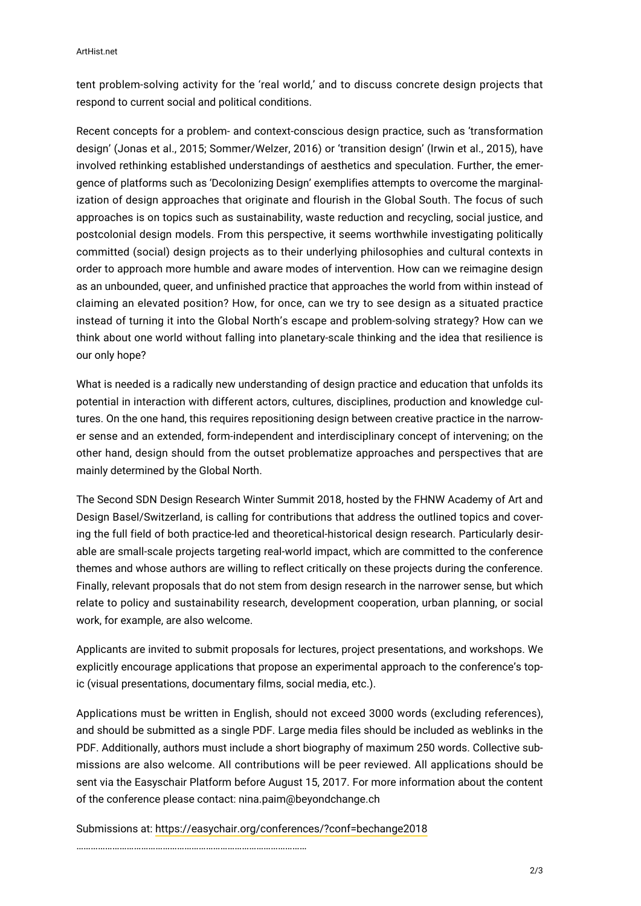ArtHist.net

tent problem-solving activity for the 'real world,' and to discuss concrete design projects that respond to current social and political conditions.

Recent concepts for a problem- and context-conscious design practice, such as 'transformation design' (Jonas et al., 2015; Sommer/Welzer, 2016) or 'transition design' (Irwin et al., 2015), have involved rethinking established understandings of aesthetics and speculation. Further, the emergence of platforms such as 'Decolonizing Design' exemplifies attempts to overcome the marginalization of design approaches that originate and flourish in the Global South. The focus of such approaches is on topics such as sustainability, waste reduction and recycling, social justice, and postcolonial design models. From this perspective, it seems worthwhile investigating politically committed (social) design projects as to their underlying philosophies and cultural contexts in order to approach more humble and aware modes of intervention. How can we reimagine design as an unbounded, queer, and unfinished practice that approaches the world from within instead of claiming an elevated position? How, for once, can we try to see design as a situated practice instead of turning it into the Global North's escape and problem-solving strategy? How can we think about one world without falling into planetary-scale thinking and the idea that resilience is our only hope?

What is needed is a radically new understanding of design practice and education that unfolds its potential in interaction with different actors, cultures, disciplines, production and knowledge cultures. On the one hand, this requires repositioning design between creative practice in the narrower sense and an extended, form-independent and interdisciplinary concept of intervening; on the other hand, design should from the outset problematize approaches and perspectives that are mainly determined by the Global North.

The Second SDN Design Research Winter Summit 2018, hosted by the FHNW Academy of Art and Design Basel/Switzerland, is calling for contributions that address the outlined topics and covering the full field of both practice-led and theoretical-historical design research. Particularly desirable are small-scale projects targeting real-world impact, which are committed to the conference themes and whose authors are willing to reflect critically on these projects during the conference. Finally, relevant proposals that do not stem from design research in the narrower sense, but which relate to policy and sustainability research, development cooperation, urban planning, or social work, for example, are also welcome.

Applicants are invited to submit proposals for lectures, project presentations, and workshops. We explicitly encourage applications that propose an experimental approach to the conference's topic (visual presentations, documentary films, social media, etc.).

Applications must be written in English, should not exceed 3000 words (excluding references), and should be submitted as a single PDF. Large media files should be included as weblinks in the PDF. Additionally, authors must include a short biography of maximum 250 words. Collective submissions are also welcome. All contributions will be peer reviewed. All applications should be sent via the Easyschair Platform before August 15, 2017. For more information about the content of the conference please contact: nina.paim@beyondchange.ch

Submissions at:<https://easychair.org/conferences/?conf=bechange2018>

……………………………………………………………………………………